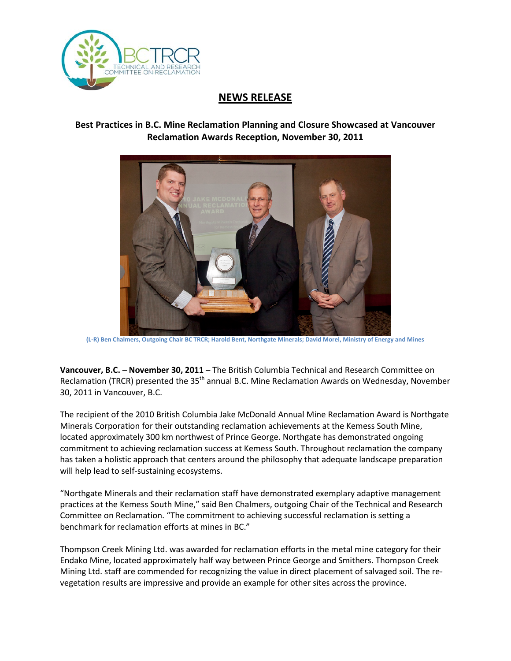

## **NEWS RELEASE**

## **Best Practices in B.C. Mine Reclamation Planning and Closure Showcased at Vancouver Reclamation Awards Reception, November 30, 2011**



**(L-R) Ben Chalmers, Outgoing Chair BC TRCR; Harold Bent, Northgate Minerals; David Morel, Ministry of Energy and Mines**

**Vancouver, B.C. – November 30, 2011 –** The British Columbia Technical and Research Committee on Reclamation (TRCR) presented the 35<sup>th</sup> annual B.C. Mine Reclamation Awards on Wednesday, November 30, 2011 in Vancouver, B.C.

The recipient of the 2010 British Columbia Jake McDonald Annual Mine Reclamation Award is Northgate Minerals Corporation for their outstanding reclamation achievements at the Kemess South Mine, located approximately 300 km northwest of Prince George. Northgate has demonstrated ongoing commitment to achieving reclamation success at Kemess South. Throughout reclamation the company has taken a holistic approach that centers around the philosophy that adequate landscape preparation will help lead to self-sustaining ecosystems.

"Northgate Minerals and their reclamation staff have demonstrated exemplary adaptive management practices at the Kemess South Mine," said Ben Chalmers, outgoing Chair of the Technical and Research Committee on Reclamation. "The commitment to achieving successful reclamation is setting a benchmark for reclamation efforts at mines in BC."

Thompson Creek Mining Ltd. was awarded for reclamation efforts in the metal mine category for their Endako Mine, located approximately half way between Prince George and Smithers. Thompson Creek Mining Ltd. staff are commended for recognizing the value in direct placement of salvaged soil. The revegetation results are impressive and provide an example for other sites across the province.